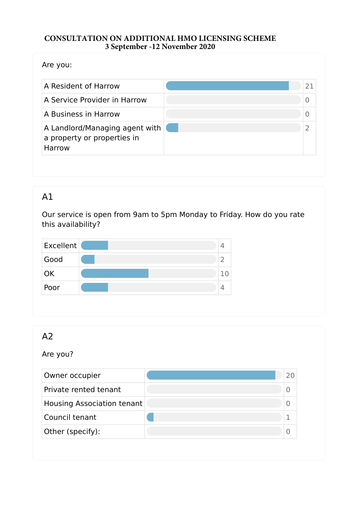#### **CONSULTATION ON ADDITIONAL HMO LICENSING SCHEME 3 September -12 November 2020**

Are you:

| A Resident of Harrow                                                           | 21 |
|--------------------------------------------------------------------------------|----|
| A Service Provider in Harrow                                                   |    |
| A Business in Harrow                                                           |    |
| A Landlord/Managing agent with<br>a property or properties in<br><b>Harrow</b> |    |

## A1

Our service is open from 9am to 5pm Monday to Friday. How do you rate this availability?



# $A<sub>2</sub>$

Are you?

| Owner occupier             |  |
|----------------------------|--|
| Private rented tenant      |  |
| Housing Association tenant |  |
| Council tenant             |  |
| Other (specify):           |  |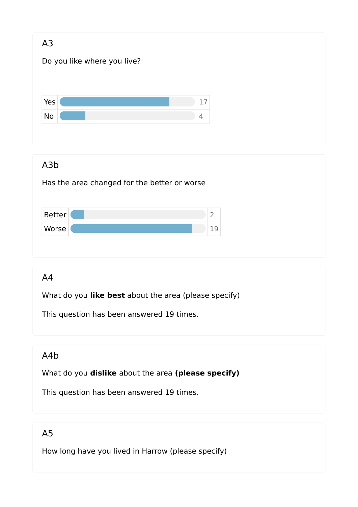| A3<br>Do you like where you live?                                |                      |  |
|------------------------------------------------------------------|----------------------|--|
| Yes<br>No                                                        | 17<br>$\overline{4}$ |  |
| A <sub>3</sub> b<br>Has the area changed for the better or worse |                      |  |
| <b>Better</b><br>Worse                                           | $\overline{2}$<br>19 |  |

### A4

What do you **like best** about the area (please specify)

This question has been answered 19 times.

## A4b

What do you **dislike** about the area **(please specify)** 

This question has been answered 19 times.

# A5

How long have you lived in Harrow (please specify)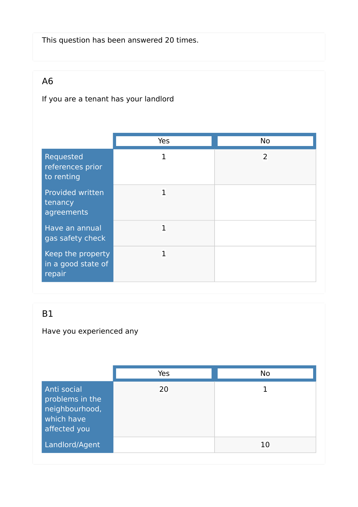This question has been answered 20 times.

# A6

## If you are a tenant has your landlord

|                                                   | Yes          | <b>No</b>      |
|---------------------------------------------------|--------------|----------------|
| Requested<br>references prior<br>to renting       | $\mathbf{1}$ | $\overline{2}$ |
| Provided written<br>tenancy<br>agreements         | 1            |                |
| Have an annual<br>gas safety check                | $\mathbf{1}$ |                |
| Keep the property<br>in a good state of<br>repair | 1            |                |

## B1

## Have you experienced any

|                                                                                | Yes | No |
|--------------------------------------------------------------------------------|-----|----|
| Anti social<br>problems in the<br>neighbourhood,<br>which have<br>affected you | 20  |    |
| Landlord/Agent                                                                 |     | 10 |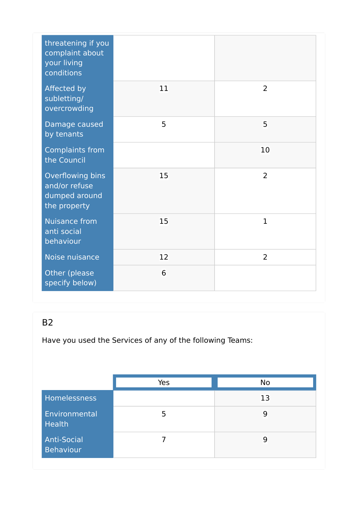| threatening if you<br>complaint about<br>your living<br>conditions |    |                |
|--------------------------------------------------------------------|----|----------------|
| <b>Affected by</b><br>subletting/<br>overcrowding                  | 11 | $\overline{2}$ |
| Damage caused<br>by tenants                                        | 5  | 5              |
| <b>Complaints from</b><br>the Council                              |    | 10             |
| Overflowing bins<br>and/or refuse<br>dumped around<br>the property | 15 | $\overline{2}$ |
| <b>Nuisance from</b><br>anti social<br>behaviour                   | 15 | $\mathbf{1}$   |
| Noise nuisance                                                     | 12 | $\overline{2}$ |
| Other (please<br>specify below)                                    | 6  |                |

Have you used the Services of any of the following Teams:

|                                 | Yes | <b>No</b> |
|---------------------------------|-----|-----------|
| <b>Homelessness</b>             |     | 13        |
| Environmental<br><b>Health</b>  | 5   | 9         |
| <b>Anti-Social</b><br>Behaviour |     | 9         |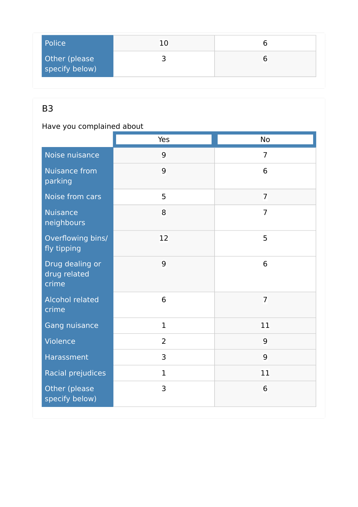| Police                          | 1 በ |  |
|---------------------------------|-----|--|
| Other (please<br>specify below) |     |  |

Have you complained about

|                                          | Yes            | <b>No</b>      |
|------------------------------------------|----------------|----------------|
| Noise nuisance                           | 9              | $\overline{7}$ |
| <b>Nuisance from</b><br>parking          | 9              | 6              |
| Noise from cars                          | 5              | $\overline{7}$ |
| <b>Nuisance</b><br>neighbours            | 8              | $\overline{7}$ |
| Overflowing bins/<br>fly tipping         | 12             | 5              |
| Drug dealing or<br>drug related<br>crime | 9              | 6              |
| <b>Alcohol related</b><br>crime          | 6              | $\overline{7}$ |
| Gang nuisance                            | $\mathbf 1$    | 11             |
| Violence                                 | $\overline{2}$ | 9              |
| Harassment                               | 3              | 9              |
| Racial prejudices                        | $\mathbf 1$    | 11             |
| Other (please<br>specify below)          | 3              | 6              |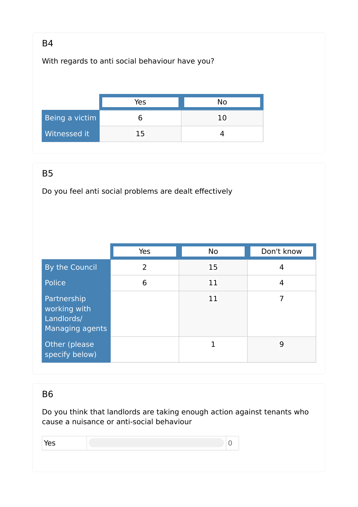With regards to anti social behaviour have you?

|                | Yes | No  |
|----------------|-----|-----|
| Being a victim |     | 1 በ |
| Witnessed it   | 15  |     |

#### B5

Do you feel anti social problems are dealt effectively

|                                                              | Yes | <b>No</b> | Don't know |
|--------------------------------------------------------------|-----|-----------|------------|
| By the Council                                               | 2   | 15        | 4          |
| Police                                                       | 6   | 11        | 4          |
| Partnership<br>working with<br>Landlords/<br>Managing agents |     | 11        | 7          |
| Other (please)<br>specify below)                             |     |           | 9          |

#### B6

Do you think that landlords are taking enough action against tenants who cause a nuisance or anti-social behaviour

| --<br>-- |  |
|----------|--|
|          |  |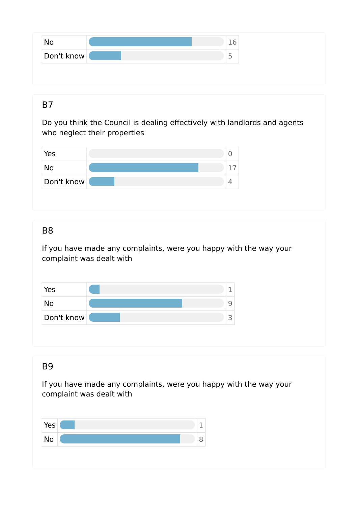| No         |  |
|------------|--|
| Don't know |  |

Do you think the Council is dealing effectively with landlords and agents who neglect their properties



#### B8

If you have made any complaints, were you happy with the way your complaint was dealt with

| Yes        |  |
|------------|--|
| No         |  |
| Don't know |  |

#### B9

If you have made any complaints, were you happy with the way your complaint was dealt with

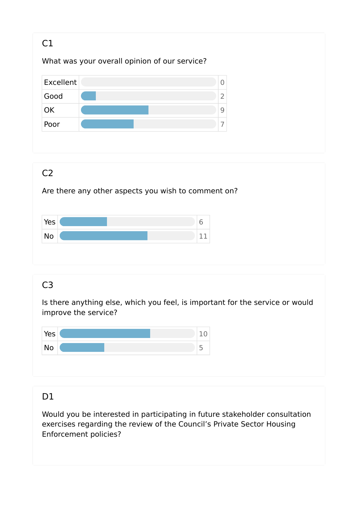

Is there anything else, which you feel, is important for the service or would improve the service?



#### D1

Would you be interested in participating in future stakeholder consultation exercises regarding the review of the Council's Private Sector Housing Enforcement policies?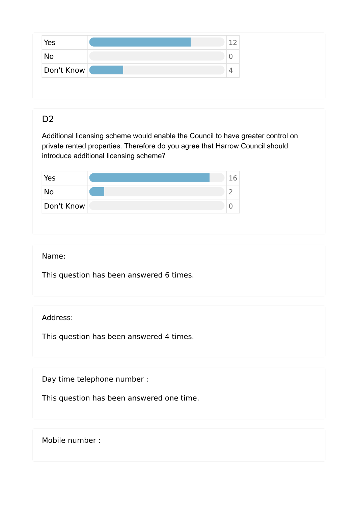| Yes        | ÷ |
|------------|---|
| <b>NO</b>  | ◡ |
| Don't Know | 4 |

## D<sub>2</sub>

Additional licensing scheme would enable the Council to have greater control on private rented properties. Therefore do you agree that Harrow Council should introduce additional licensing scheme?

| Yes        |  |
|------------|--|
| <b>No</b>  |  |
| Don't Know |  |

#### Name:

This question has been answered 6 times.

#### Address:

This question has been answered 4 times.

Day time telephone number :

This question has been answered one time.

Mobile number :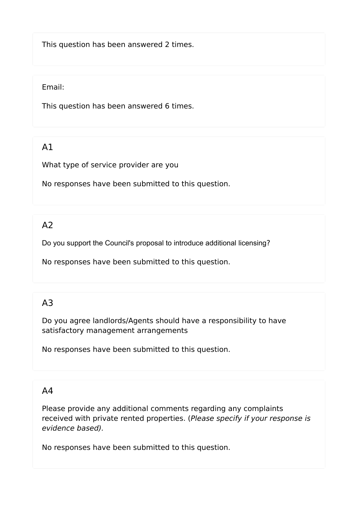This question has been answered 2 times.

#### Email:

This question has been answered 6 times.

## A1

What type of service provider are you

No responses have been submitted to this question.

## $A<sub>2</sub>$

Do you support the Council's proposal to introduce additional licensing?

No responses have been submitted to this question.

## A3

Do you agree landlords/Agents should have a responsibility to have satisfactory management arrangements

No responses have been submitted to this question.

#### A4

Please provide any additional comments regarding any complaints received with private rented properties. (*Please specify if your response is evidence based).* 

No responses have been submitted to this question.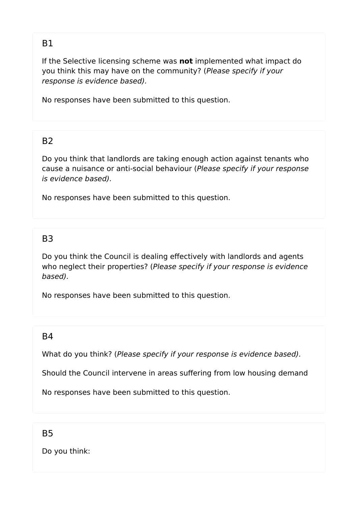If the Selective licensing scheme was **not** implemented what impact do you think this may have on the community? (*Please specify if your response is evidence based).* 

No responses have been submitted to this question.

#### $B<sub>2</sub>$

Do you think that landlords are taking enough action against tenants who cause a nuisance or anti-social behaviour (*Please specify if your response is evidence based).* 

No responses have been submitted to this question.

#### B3

Do you think the Council is dealing effectively with landlords and agents who neglect their properties? (*Please specify if your response is evidence based).* 

No responses have been submitted to this question.

#### $R4$

What do you think? (*Please specify if your response is evidence based).* 

Should the Council intervene in areas suffering from low housing demand

No responses have been submitted to this question.

B5

Do you think: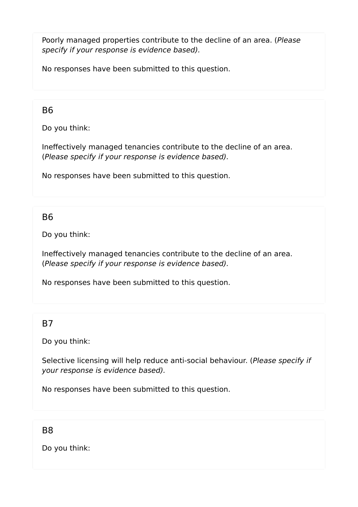Poorly managed properties contribute to the decline of an area. (*Please specify if your response is evidence based).* 

No responses have been submitted to this question.

#### B6

Do you think:

Ineffectively managed tenancies contribute to the decline of an area. (*Please specify if your response is evidence based).* 

No responses have been submitted to this question.

#### B6

Do you think:

Ineffectively managed tenancies contribute to the decline of an area. (*Please specify if your response is evidence based).* 

No responses have been submitted to this question.

#### B7

Do you think:

Selective licensing will help reduce anti-social behaviour. (*Please specify if your response is evidence based).* 

No responses have been submitted to this question.

#### B8

Do you think: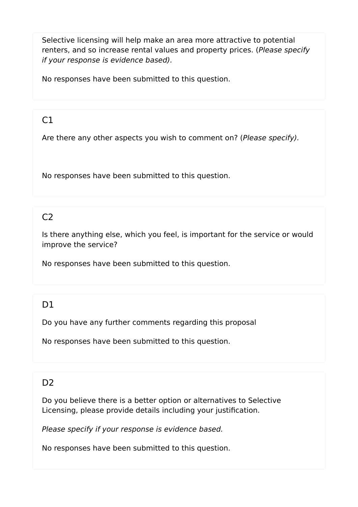Selective licensing will help make an area more attractive to potential renters, and so increase rental values and property prices. (*Please specify if your response is evidence based).* 

No responses have been submitted to this question.

## $C1$

Are there any other aspects you wish to comment on? (*Please specify).* 

No responses have been submitted to this question.

## $C<sub>2</sub>$

Is there anything else, which you feel, is important for the service or would improve the service?

No responses have been submitted to this question.

## D<sub>1</sub>

Do you have any further comments regarding this proposal

No responses have been submitted to this question.

## D<sub>2</sub>

Do you believe there is a better option or alternatives to Selective Licensing, please provide details including your justification.

*Please specify if your response is evidence based.* 

No responses have been submitted to this question.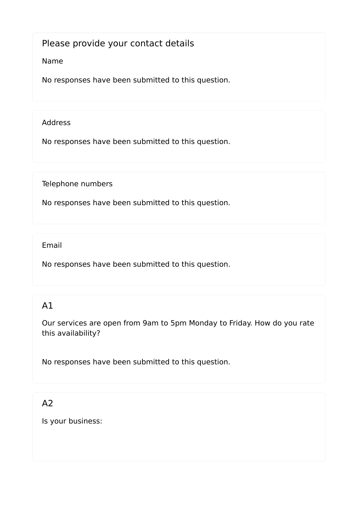#### Please provide your contact details

#### Name

No responses have been submitted to this question.

#### Address

No responses have been submitted to this question.

Telephone numbers

No responses have been submitted to this question.

Email

No responses have been submitted to this question.

# A1

Our services are open from 9am to 5pm Monday to Friday. How do you rate this availability?

No responses have been submitted to this question.

## A2

Is your business: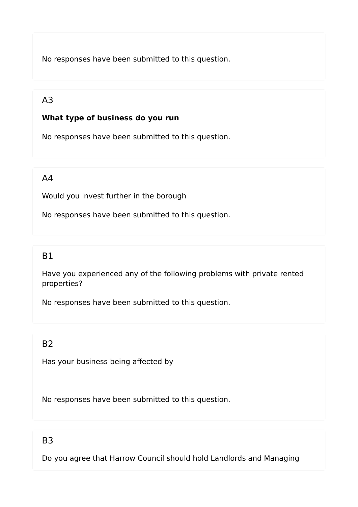No responses have been submitted to this question.

# A3

#### **What type of business do you run**

No responses have been submitted to this question.

#### A4

Would you invest further in the borough

No responses have been submitted to this question.

#### B1

Have you experienced any of the following problems with private rented properties?

No responses have been submitted to this question.

#### $B<sub>2</sub>$

Has your business being affected by

No responses have been submitted to this question.

#### B3

Do you agree that Harrow Council should hold Landlords and Managing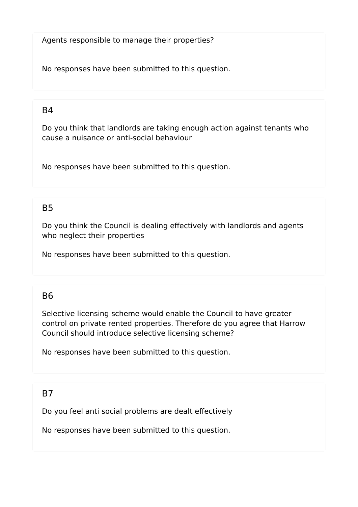Agents responsible to manage their properties?

No responses have been submitted to this question.

#### $B4$

Do you think that landlords are taking enough action against tenants who cause a nuisance or anti-social behaviour

No responses have been submitted to this question.

#### B5

Do you think the Council is dealing effectively with landlords and agents who neglect their properties

No responses have been submitted to this question.

#### B6

Selective licensing scheme would enable the Council to have greater control on private rented properties. Therefore do you agree that Harrow Council should introduce selective licensing scheme?

No responses have been submitted to this question.

#### B7

Do you feel anti social problems are dealt effectively

No responses have been submitted to this question.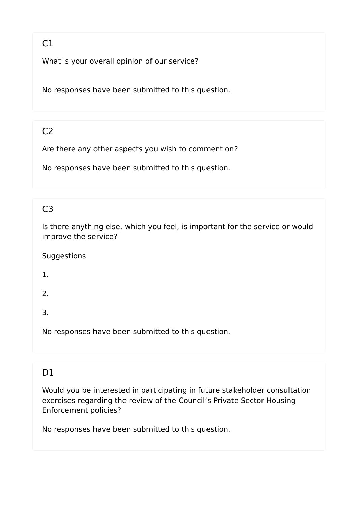# $C1$

What is your overall opinion of our service?

No responses have been submitted to this question.

# $C<sub>2</sub>$

Are there any other aspects you wish to comment on?

No responses have been submitted to this question.

# C3

Is there anything else, which you feel, is important for the service or would improve the service?

Suggestions

1.

2.

3.

No responses have been submitted to this question.

## D1

Would you be interested in participating in future stakeholder consultation exercises regarding the review of the Council's Private Sector Housing Enforcement policies?

No responses have been submitted to this question.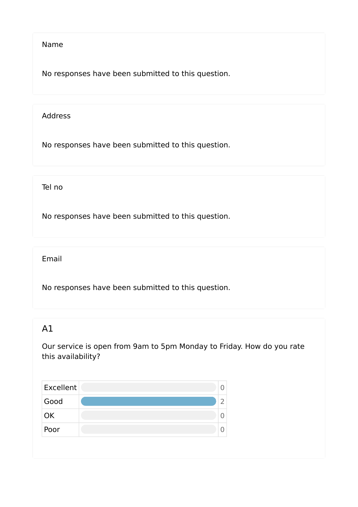#### Name

No responses have been submitted to this question.

#### Address

No responses have been submitted to this question.

Tel no

No responses have been submitted to this question.

Email

No responses have been submitted to this question.

## A1

Our service is open from 9am to 5pm Monday to Friday. How do you rate this availability?

| Excellent |  |
|-----------|--|
| Good      |  |
| OK        |  |
| Poor      |  |
|           |  |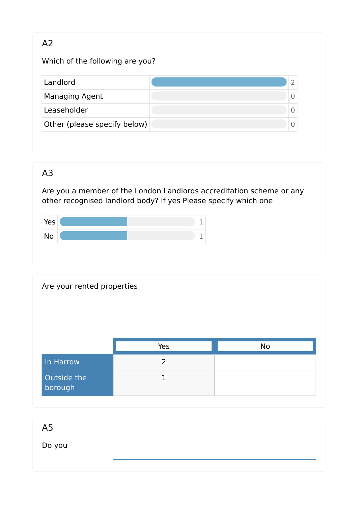## A2

Which of the following are you?

| Landlord                     |  |
|------------------------------|--|
| <b>Managing Agent</b>        |  |
| Leaseholder                  |  |
| Other (please specify below) |  |

# A3

Are you a member of the London Landlords accreditation scheme or any other recognised landlord body? If yes Please specify which one



| Are your rented properties |                |           |
|----------------------------|----------------|-----------|
|                            | Yes            | <b>No</b> |
|                            |                |           |
| In Harrow                  | $\overline{2}$ |           |

A5

Do you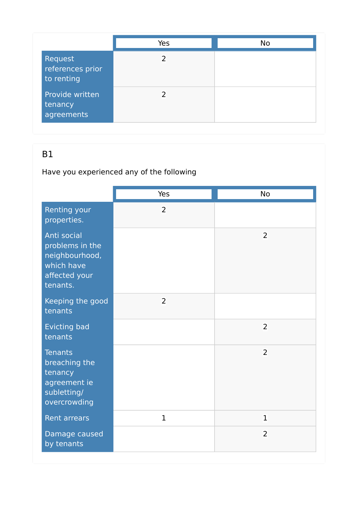|                                           | Yes | <b>No</b> |
|-------------------------------------------|-----|-----------|
| Request<br>references prior<br>to renting | 2   |           |
| Provide written<br>tenancy<br>agreements  |     |           |

# Have you experienced any of the following

|                                                                                             | Yes            | <b>No</b>      |
|---------------------------------------------------------------------------------------------|----------------|----------------|
| Renting your<br>properties.                                                                 | $\overline{2}$ |                |
| Anti social<br>problems in the<br>neighbourhood,<br>which have<br>affected your<br>tenants. |                | 2              |
| Keeping the good<br>tenants                                                                 | $\overline{2}$ |                |
| <b>Evicting bad</b><br>tenants                                                              |                | 2              |
| <b>Tenants</b><br>breaching the<br>tenancy<br>agreement ie<br>subletting/<br>overcrowding   |                | $\overline{2}$ |
| <b>Rent arrears</b>                                                                         | $\mathbf{1}$   | $\mathbf{1}$   |
| Damage caused<br>by tenants                                                                 |                | $\overline{2}$ |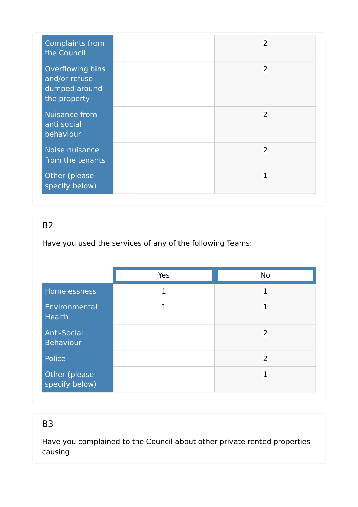| <b>Complaints from</b><br>the Council                              | $\overline{2}$ |
|--------------------------------------------------------------------|----------------|
| Overflowing bins<br>and/or refuse<br>dumped around<br>the property | $\overline{2}$ |
| <b>Nuisance from</b><br>anti social<br>behaviour                   | $\overline{2}$ |
| Noise nuisance<br>from the tenants                                 | $\overline{2}$ |
| Other (please<br>specify below)                                    | $\mathbf{1}$   |

Have you used the services of any of the following Teams:

|                                        | Yes          | <b>No</b>    |
|----------------------------------------|--------------|--------------|
| <b>Homelessness</b>                    | $\mathbf{1}$ | 1            |
| Environmental<br><b>Health</b>         | 1            | $\mathbf{1}$ |
| <b>Anti-Social</b><br><b>Behaviour</b> |              | 2            |
| Police                                 |              | 2            |
| Other (please<br>specify below)        |              | 1            |

## B3

Have you complained to the Council about other private rented properties causing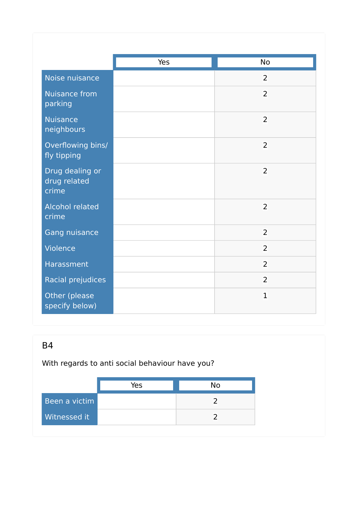|                                          | Yes | No             |
|------------------------------------------|-----|----------------|
| Noise nuisance                           |     | $\overline{2}$ |
| <b>Nuisance from</b><br>parking          |     | $\overline{2}$ |
| <b>Nuisance</b><br>neighbours            |     | $\overline{2}$ |
| Overflowing bins/<br>fly tipping         |     | $\overline{2}$ |
| Drug dealing or<br>drug related<br>crime |     | $\overline{2}$ |
| <b>Alcohol related</b><br>crime          |     | $\overline{2}$ |
| Gang nuisance                            |     | $\overline{2}$ |
| Violence                                 |     | $\overline{2}$ |
| Harassment                               |     | $\overline{2}$ |
| Racial prejudices                        |     | $\overline{2}$ |
| Other (please<br>specify below)          |     | $\mathbf{1}$   |

With regards to anti social behaviour have you?

|               | Yes | <b>No</b> |
|---------------|-----|-----------|
| Been a victim |     |           |
| Witnessed it  |     |           |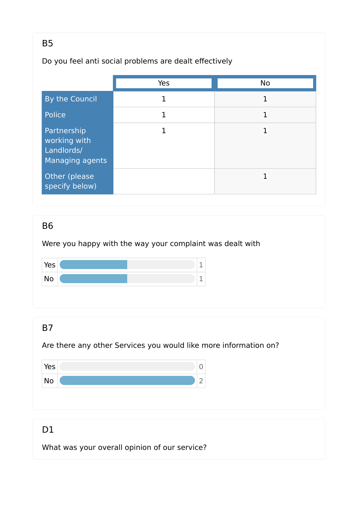## Do you feel anti social problems are dealt effectively

|                                                              | Yes | <b>No</b> |
|--------------------------------------------------------------|-----|-----------|
| By the Council                                               | 1   | 1         |
| Police                                                       | 1   | 1         |
| Partnership<br>working with<br>Landlords/<br>Managing agents |     | 1         |
| Other (please<br>specify below)                              |     | 1         |

#### B6

Were you happy with the way your complaint was dealt with



## B7

Are there any other Services you would like more information on?



## D<sub>1</sub>

What was your overall opinion of our service?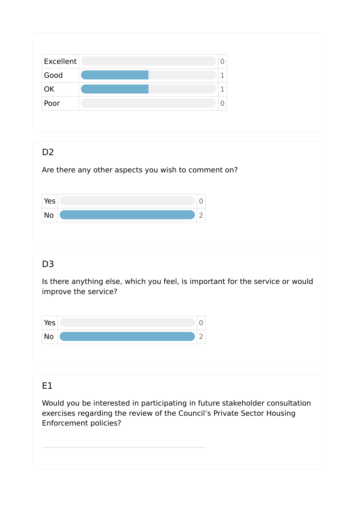| Excellent | 0       |
|-----------|---------|
| Good      | ÷.      |
| OK        | ×.<br>ᆚ |
| Poor      | U       |

#### D<sub>2</sub>

Are there any other aspects you wish to comment on?

| Yes |  |
|-----|--|
| No  |  |

# D<sub>3</sub>

Is there anything else, which you feel, is important for the service or would improve the service?



## E1

Would you be interested in participating in future stakeholder consultation exercises regarding the review of the Council's Private Sector Housing Enforcement policies?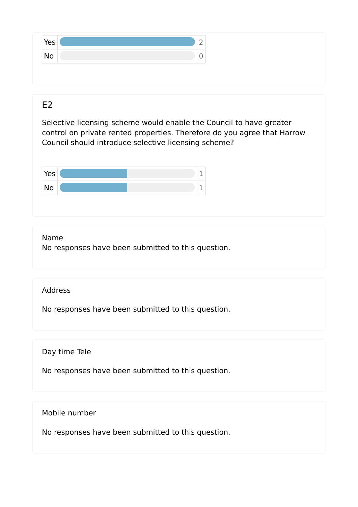| Yes       | ۰ |
|-----------|---|
| <b>No</b> |   |

#### $F<sub>2</sub>$

Selective licensing scheme would enable the Council to have greater control on private rented properties. Therefore do you agree that Harrow Council should introduce selective licensing scheme?



#### Name

No responses have been submitted to this question.

#### Address

No responses have been submitted to this question.

Day time Tele

No responses have been submitted to this question.

Mobile number

No responses have been submitted to this question.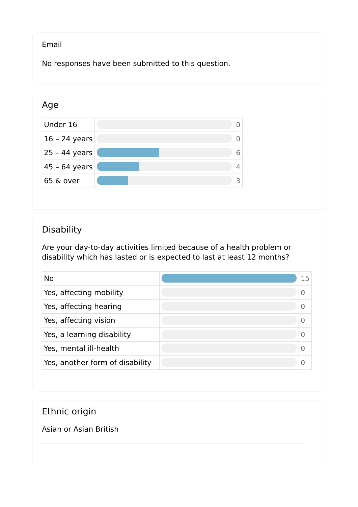#### Email

No responses have been submitted to this question.



## Disability

Are your day-to-day activities limited because of a health problem or disability which has lasted or is expected to last at least 12 months?

| <b>No</b>                         | 15 |
|-----------------------------------|----|
| Yes, affecting mobility           |    |
| Yes, affecting hearing            |    |
| Yes, affecting vision             |    |
| Yes, a learning disability        |    |
| Yes, mental ill-health            |    |
| Yes, another form of disability - |    |

## Ethnic origin

Asian or Asian British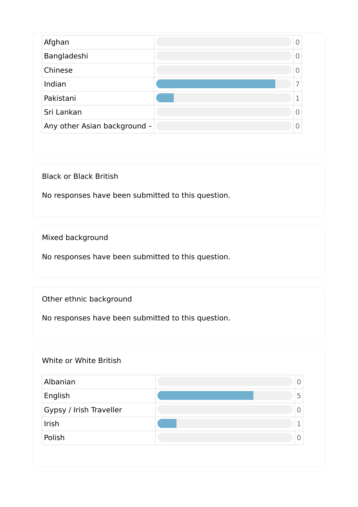| Afghan                       |   |
|------------------------------|---|
| Bangladeshi                  |   |
| Chinese                      |   |
| Indian                       |   |
| Pakistani                    |   |
| Sri Lankan                   |   |
| Any other Asian background - | 0 |

Black or Black British

No responses have been submitted to this question.

Mixed background

No responses have been submitted to this question.

Other ethnic background

No responses have been submitted to this question.

#### White or White British

| Albanian                | 0 |
|-------------------------|---|
| English                 | 5 |
| Gypsy / Irish Traveller |   |
| Irish                   | - |
| Polish                  |   |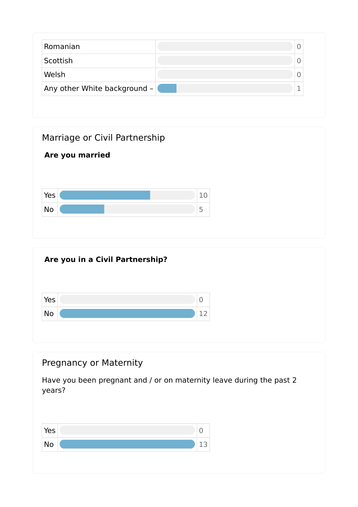| Romanian                     |  |
|------------------------------|--|
| Scottish                     |  |
| Welsh                        |  |
| Any other White background - |  |





# Pregnancy or Maternity Have you been pregnant and / or on maternity leave during the past 2 years?  $Yes$  0 No  $\sim$  13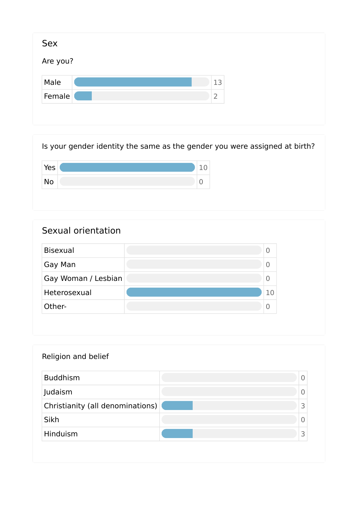| Are you? |                |
|----------|----------------|
| Male     | 13             |
| Female   | $\overline{2}$ |



| Sexual orientation  |                |
|---------------------|----------------|
| <b>Bisexual</b>     | $\overline{0}$ |
| Gay Man             | $\overline{0}$ |
| Gay Woman / Lesbian | 0              |
| Heterosexual        | 10             |
| Other-              | 0              |

| Religion and belief              |   |
|----------------------------------|---|
| <b>Buddhism</b>                  | 0 |
| Judaism                          | 0 |
| Christianity (all denominations) | 3 |
| Sikh                             | 0 |
| Hinduism                         | 3 |